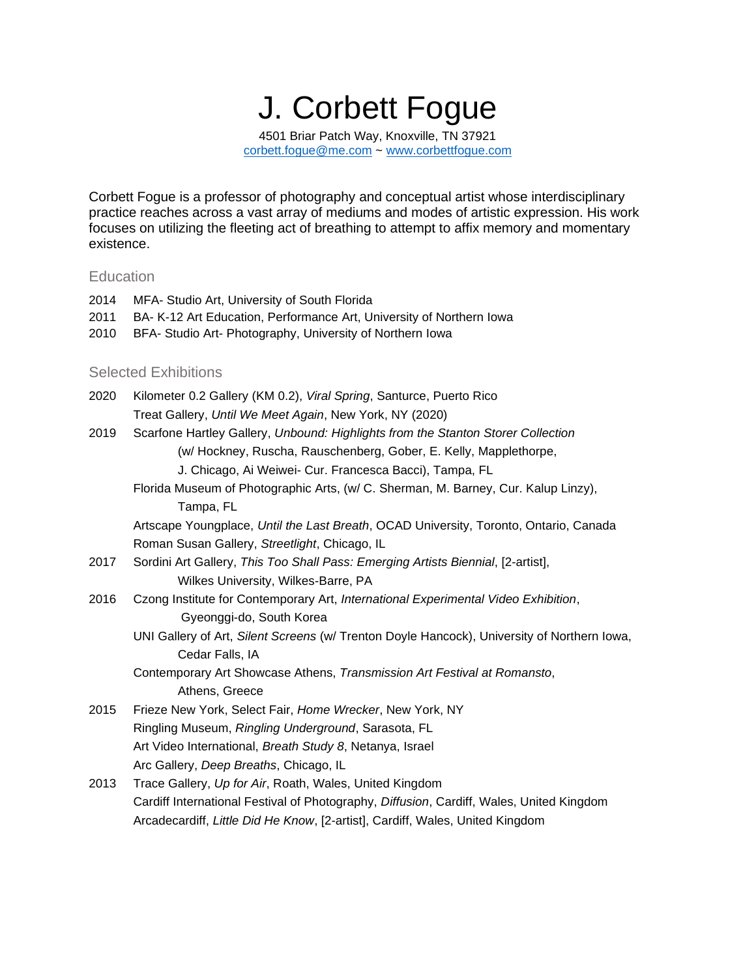J. Corbett Fogue 4501 Briar Patch Way, Knoxville, TN 37921 [corbett.fogue@me.com](mailto:corbett.fogue@me.com) ~ [www.corbettfogue.com](http://www.corbettfogue.com/)

Corbett Fogue is a professor of photography and conceptual artist whose interdisciplinary practice reaches across a vast array of mediums and modes of artistic expression. His work focuses on utilizing the fleeting act of breathing to attempt to affix memory and momentary existence.

### **Education**

| 2011<br>2010 | BA- K-12 Art Education, Performance Art, University of Northern Iowa<br>BFA- Studio Art- Photography, University of Northern Iowa |
|--------------|-----------------------------------------------------------------------------------------------------------------------------------|
|              | <b>Selected Exhibitions</b>                                                                                                       |
| 2020         | Kilometer 0.2 Gallery (KM 0.2), Viral Spring, Santurce, Puerto Rico                                                               |
|              | Treat Gallery, Until We Meet Again, New York, NY (2020)                                                                           |
| 2019         | Scarfone Hartley Gallery, Unbound: Highlights from the Stanton Storer Collection                                                  |
|              | (w/ Hockney, Ruscha, Rauschenberg, Gober, E. Kelly, Mapplethorpe,                                                                 |
|              | J. Chicago, Ai Weiwei- Cur. Francesca Bacci), Tampa, FL                                                                           |
|              | Florida Museum of Photographic Arts, (w/ C. Sherman, M. Barney, Cur. Kalup Lin                                                    |

2014 MFA- Studio Art, University of South Florida

Cur. Kalup Linzy), Tampa, FL

Artscape Youngplace, *Until the Last Breath*, OCAD University, Toronto, Ontario, Canada Roman Susan Gallery, *Streetlight*, Chicago, IL

- 2017 Sordini Art Gallery, *This Too Shall Pass: Emerging Artists Biennial*, [2-artist], Wilkes University, Wilkes-Barre, PA
- 2016 Czong Institute for Contemporary Art, *International Experimental Video Exhibition*, Gyeonggi-do, South Korea
	- UNI Gallery of Art, *Silent Screens* (w/ Trenton Doyle Hancock), University of Northern Iowa, Cedar Falls, IA
	- Contemporary Art Showcase Athens, *Transmission Art Festival at Romansto*, Athens, Greece
- 2015 Frieze New York, Select Fair, *Home Wrecker*, New York, NY Ringling Museum, *Ringling Underground*, Sarasota, FL Art Video International, *Breath Study 8*, Netanya, Israel Arc Gallery, *Deep Breaths*, Chicago, IL
- 2013 Trace Gallery, *Up for Air*, Roath, Wales, United Kingdom Cardiff International Festival of Photography, *Diffusion*, Cardiff, Wales, United Kingdom Arcadecardiff, *Little Did He Know*, [2-artist], Cardiff, Wales, United Kingdom